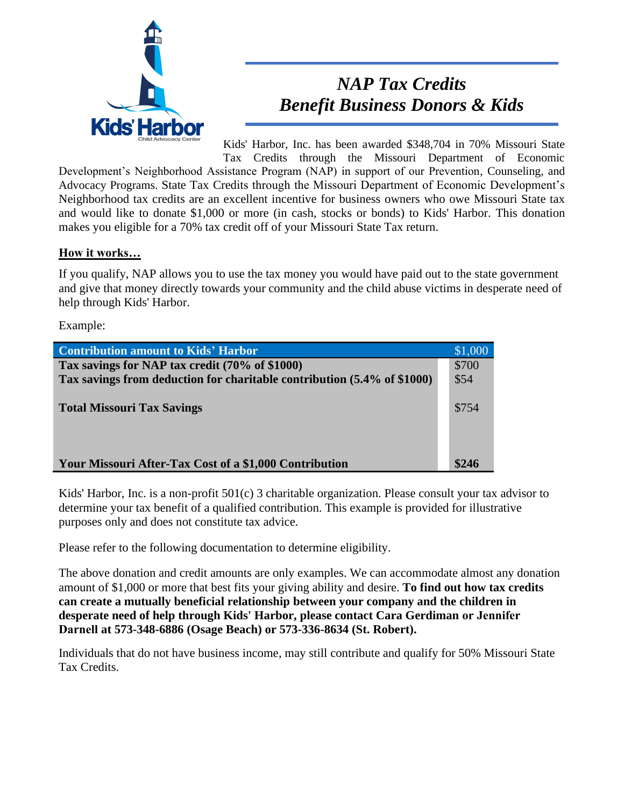

## *NAP Tax Credits Benefit Business Donors & Kids*

Kids' Harbor, Inc. has been awarded \$348,704 in 70% Missouri State Tax Credits through the Missouri Department of Economic

Development's Neighborhood Assistance Program (NAP) in support of our Prevention, Counseling, and Advocacy Programs. State Tax Credits through the Missouri Department of Economic Development's Neighborhood tax credits are an excellent incentive for business owners who owe Missouri State tax and would like to donate \$1,000 or more (in cash, stocks or bonds) to Kids' Harbor. This donation makes you eligible for a 70% tax credit off of your Missouri State Tax return.

## **How it works…**

If you qualify, NAP allows you to use the tax money you would have paid out to the state government and give that money directly towards your community and the child abuse victims in desperate need of help through Kids' Harbor.

Example:

| <b>Contribution amount to Kids' Harbor</b>                              | \$1,000 |
|-------------------------------------------------------------------------|---------|
| Tax savings for NAP tax credit (70% of \$1000)                          | \$700   |
| Tax savings from deduction for charitable contribution (5.4% of \$1000) | \$54    |
|                                                                         |         |
| <b>Total Missouri Tax Savings</b>                                       | \$754   |
|                                                                         |         |
|                                                                         |         |
|                                                                         |         |
| Your Missouri After-Tax Cost of a \$1,000 Contribution                  |         |

Kids' Harbor, Inc. is a non-profit 501(c) 3 charitable organization. Please consult your tax advisor to determine your tax benefit of a qualified contribution. This example is provided for illustrative purposes only and does not constitute tax advice.

Please refer to the following documentation to determine eligibility.

The above donation and credit amounts are only examples. We can accommodate almost any donation amount of \$1,000 or more that best fits your giving ability and desire. **To find out how tax credits can create a mutually beneficial relationship between your company and the children in desperate need of help through Kids' Harbor, please contact Cara Gerdiman or Jennifer Darnell at 573-348-6886 (Osage Beach) or 573-336-8634 (St. Robert).** 

Individuals that do not have business income, may still contribute and qualify for 50% Missouri State Tax Credits.